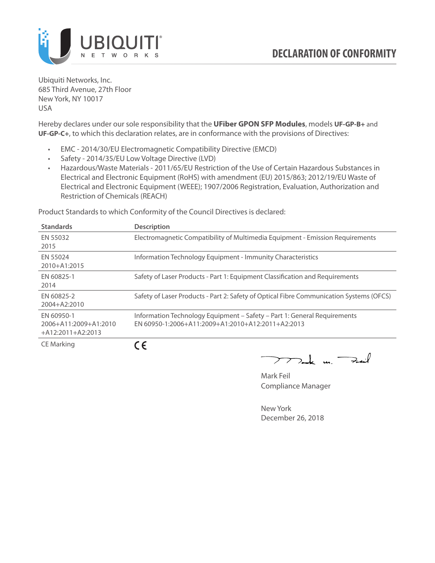

Ubiquiti Networks, Inc. 685 Third Avenue, 27th Floor New York, NY 10017 USA

Hereby declares under our sole responsibility that the **UFiber GPON SFP Modules**, models **UF-GP-B+** and **UF-GP-C+**, to which this declaration relates, are in conformance with the provisions of Directives:

- EMC 2014/30/EU Electromagnetic Compatibility Directive (EMCD)
- Safety 2014/35/EU Low Voltage Directive (LVD)
- Hazardous/Waste Materials 2011/65/EU Restriction of the Use of Certain Hazardous Substances in Electrical and Electronic Equipment (RoHS) with amendment (EU) 2015/863; 2012/19/EU Waste of Electrical and Electronic Equipment (WEEE); 1907/2006 Registration, Evaluation, Authorization and Restriction of Chemicals (REACH)

Product Standards to which Conformity of the Council Directives is declared:

| <b>Standards</b>                                           | <b>Description</b>                                                                                                            |
|------------------------------------------------------------|-------------------------------------------------------------------------------------------------------------------------------|
| EN 55032<br>2015                                           | Electromagnetic Compatibility of Multimedia Equipment - Emission Requirements                                                 |
| EN 55024<br>2010+A1:2015                                   | Information Technology Equipment - Immunity Characteristics                                                                   |
| EN 60825-1<br>2014                                         | Safety of Laser Products - Part 1: Equipment Classification and Requirements                                                  |
| EN 60825-2<br>2004+A2:2010                                 | Safety of Laser Products - Part 2: Safety of Optical Fibre Communication Systems (OFCS)                                       |
| EN 60950-1<br>2006+A11:2009+A1:2010<br>$+A12:2011+A2:2013$ | Information Technology Equipment - Safety - Part 1: General Requirements<br>FN 60950-1:2006+A11:2009+A1:2010+A12:2011+A2:2013 |
| $CF$ Marking                                               | $\epsilon$                                                                                                                    |

CE Marking

**CE** 

 $\nabla$ ak un  $\rightarrow$  $\overline{\phantom{1}}$ 

Mark Feil Compliance Manager

New York December 26, 2018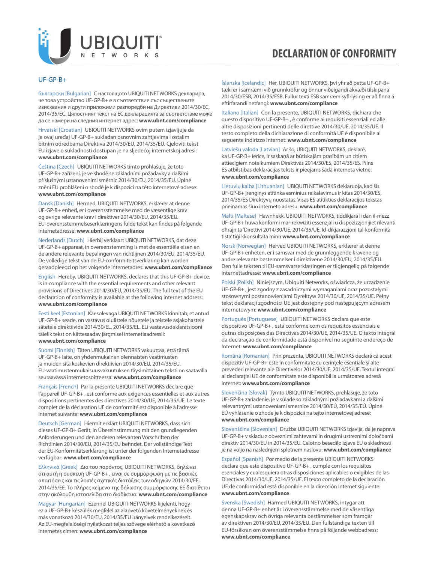

## **DECLARATION OF CONFORMITY**

## UF-GP-B+

български [Bulgarian] С настоящото UBIQUITI NETWORKS декларира, че това устройство UF-GP-B+ е в съответствие със съществените изисквания и други приложими разпоредби на Директиви 2014/30/ЕС, 2014/35/ЕС. Цялостният текст на ЕС декларацията за съответствие може да се намери на следния интернет адрес: **[www.ubnt.com/compliance](http://www.ubnt.com/compliance)**

Hrvatski [Croatian] UBIQUITI NETWORKS ovim putem izjavljuje da je ovaj uređaj UF-GP-B+ sukladan osnovnim zahtjevima i ostalim bitnim odredbama Direktiva 2014/30/EU, 2014/35/EU. Cjeloviti tekst EU izjave o sukladnosti dostupan je na sljedećoj internetskoj adresi: **[www.ubnt.com/compliance](http://www.ubnt.com/compliance)**

Čeština [Czech] UBIQUITI NETWORKS tímto prohlašuje, že toto UF-GP-B+ zařízení, je ve shodě se základními požadavky a dalšími příslušnými ustanoveními směrnic 2014/30/EU, 2014/35/EU. Úplné znění EU prohlášení o shodě je k dispozici na této internetové adrese: **[www.ubnt.com/compliance](http://www.ubnt.com/compliance)**

Dansk [Danish] Hermed, UBIQUITI NETWORKS, erklærer at denne UF-GP-B+ enhed, er i overensstemmelse med de væsentlige krav og øvrige relevante krav i direktiver 2014/30/EU, 2014/35/EU. EU-overensstemmelseserklæringens fulde tekst kan findes på følgende internetadresse: **[www.ubnt.com/compliance](http://www.ubnt.com/compliance)**

Nederlands [Dutch] Hierbij verklaart UBIQUITI NETWORKS, dat deze UF-GP-B+ apparaat, in overeenstemming is met de essentiële eisen en de andere relevante bepalingen van richtlijnen 2014/30/EU, 2014/35/EU. De volledige tekst van de EU-conformiteitsverklaring kan worden geraadpleegd op het volgende internetadres: **[www.ubnt.com/compliance](http://www.ubnt.com/compliance)**

English Hereby, UBIQUITI NETWORKS, declares that this UF-GP-B+ device, is in compliance with the essential requirements and other relevant provisions of Directives 2014/30/EU, 2014/35/EU. The full text of the EU declaration of conformity is available at the following internet address: **[www.ubnt.com/compliance](http://www.ubnt.com/compliance)**

Eesti keel [Estonian] Käesolevaga UBIQUITI NETWORKS kinnitab, et antud UF-GP-B+ seade, on vastavus olulistele nõuetele ja teistele asjakohastele sätetele direktiivide 2014/30/EL, 2014/35/EL. ELi vastavusdeklaratsiooni täielik tekst on kättesaadav järgmisel internetiaadressil: **[www.ubnt.com/compliance](http://www.ubnt.com/compliance)**

Suomi [Finnish] Täten UBIQUITI NETWORKS vakuuttaa, että tämä UF-GP-B+ laite, on yhdenmukainen olennaisten vaatimusten ja muiden sitä koskevien direktiivien 2014/30/EU, 2014/35/EU. EU-vaatimustenmukaisuusvakuutuksen täysimittainen teksti on saatavilla seuraavassa internetosoitteessa: **[www.ubnt.com/compliance](http://www.ubnt.com/compliance)**

Français [French] Par la présente UBIQUITI NETWORKS déclare que l'appareil UF-GP-B+ , est conforme aux exigences essentielles et aux autres dispositions pertinentes des directives 2014/30/UE, 2014/35/UE. Le texte complet de la déclaration UE de conformité est disponible à l'adresse internet suivante: **[www.ubnt.com/compliance](http://www.ubnt.com/compliance)**

Deutsch [German] Hiermit erklärt UBIQUITI NETWORKS, dass sich dieses UF-GP-B+ Gerät, in Übereinstimmung mit den grundlegenden Anforderungen und den anderen relevanten Vorschriften der Richtlinien 2014/30/EU, 2014/35/EU befindet. Der vollständige Text der EU-Konformitätserklärung ist unter der folgenden Internetadresse verfügbar: **[www.ubnt.com/compliance](http://www.ubnt.com/compliance)**

Ελληνικά [Greek] Δια του παρόντος, UBIQUITI NETWORKS, δηλώνει ότι αυτή η συσκευή UF-GP-B+ , είναι σε συμμόρφωση με τις βασικές απαιτήσεις και τις λοιπές σχετικές διατάξεις των οδηγιών 2014/30/EE, 2014/35/EE. Το πλήρες κείμενο της δήλωσης συμμόρφωσης ΕΕ διατίθεται στην ακόλουθη ιστοσελίδα στο διαδίκτυο: **[www.ubnt.com/compliance](http://www.ubnt.com/compliance)**

Magyar [Hungarian] Ezennel UBIQUITI NETWORKS kijelenti, hogy ez a UF-GP-B+ készülék megfelel az alapvető követelményeknek és más vonatkozó 2014/30/EU, 2014/35/EU irányelvek rendelkezéseit. Az EU-megfelelőségi nyilatkozat teljes szövege elérhető a következő internetes címen: **[www.ubnt.com/compliance](http://www.ubnt.com/compliance)**

Íslenska [Icelandic] Hér, UBIQUITI NETWORKS, því yfir að þetta UF-GP-B+ tæki er í samræmi við grunnkröfur og önnur viðeigandi ákvæði tilskipana 2014/30/ESB, 2014/35/ESB. Fullur texti ESB samræmisyfirlýsing er að finna á eftirfarandi netfangi: **[www.ubnt.com/compliance](http://www.ubnt.com/compliance)**

Italiano [Italian] Con la presente, UBIQUITI NETWORKS, dichiara che questo dispositivo UF-GP-B+ , è conforme ai requisiti essenziali ed alle altre disposizioni pertinenti delle direttive 2014/30/UE, 2014/35/UE. Il testo completo della dichiarazione di conformità UE è disponibile al seguente indirizzo Internet: **[www.ubnt.com/compliance](http://www.ubnt.com/compliance)**

Latviešu valoda [Latvian] Ar šo, UBIQUITI NETWORKS, deklarē, ka UF-GP-B+ ierīce, ir saskaņā ar būtiskajām prasībām un citiem attiecīgiem noteikumiem Direktīvās 2014/30/ES, 2014/35/ES. Pilns ES atbilstības deklarācijas teksts ir pieejams šādā interneta vietnē: **[www.ubnt.com/compliance](http://www.ubnt.com/compliance)**

Lietuvių kalba [Lithuanian] UBIQUITI NETWORKS deklaruoja, kad šis UF-GP-B+ įrenginys atitinka esminius reikalavimus ir kitas 2014/30/ES, 2014/35/ES Direktyvų nuostatas. Visas ES atitikties deklaracijos tekstas prieinamas šiuo interneto adresu: **[www.ubnt.com/compliance](http://www.ubnt.com/compliance)**

Malti [Maltese] Hawnhekk, UBIQUITI NETWORKS, tiddikjara li dan il-mezz UF-GP-B+ huwa konformi mar-rekwiżiti essenzjali u dispożizzjonijiet rilevanti oħrajn ta 'Direttivi 2014/30/UE, 2014/35/UE. Id-dikjarazzjoni tal-konformità tista' tiġi kkonsultata minn **[www.ubnt.com/compliance](http://www.ubnt.com/compliance)**

Norsk [Norwegian] Herved UBIQUITI NETWORKS, erklærer at denne UF-GP-B+ enheten, er i samsvar med de grunnleggende kravene og andre relevante bestemmelser i direktivene 2014/30/EU, 2014/35/EU. Den fulle teksten til EU-samsvarserklæringen er tilgjengelig på følgende internettadresse: **[www.ubnt.com/compliance](http://www.ubnt.com/compliance)**

Polski [Polish] Niniejszym, Ubiquiti Networks, oświadcza, że urządzenie UF-GP-B+ , jest zgodny z zasadniczymi wymaganiami oraz pozostałymi stosownymi postanowieniami Dyrektyw 2014/30/UE, 2014/35/UE. Pełny tekst deklaracji zgodności UE jest dostępny pod następującym adresem internetowym: **[www.ubnt.com/compliance](http://www.ubnt.com/compliance)**

Português [Portuguese] UBIQUITI NETWORKS declara que este dispositivo UF-GP-B+ , está conforme com os requisitos essenciais e outras disposições das Directivas 2014/30/UE, 2014/35/UE. O texto integral da declaração de conformidade está disponível no seguinte endereço de Internet: **[www.ubnt.com/compliance](http://www.ubnt.com/compliance)**

Română [Romanian] Prin prezenta, UBIQUITI NETWORKS declară că acest dispozitiv UF-GP-B+ este în conformitate cu cerințele esențiale și alte prevederi relevante ale Directivelor 2014/30/UE, 2014/35/UE. Textul integral al declarației UE de conformitate este disponibil la următoarea adresă internet: **[www.ubnt.com/compliance](http://www.ubnt.com/compliance)**

Slovenčina [Slovak] Týmto UBIQUITI NETWORKS, prehlasuje, že toto UF-GP-B+ zariadenie, je v súlade so základnými požiadavkami a ďalšími relevantnými ustanoveniami smernice 2014/30/EÚ, 2014/35/EÚ. Úplné EÚ vyhlásenie o zhode je k dispozícii na tejto internetovej adrese: **[www.ubnt.com/compliance](http://www.ubnt.com/compliance)**

Slovenščina [Slovenian] Družba UBIQUITI NETWORKS izjavlja, da je naprava UF-GP-B+ v skladu z obveznimi zahtevami in drugimi ustreznimi določbami direktiv 2014/30/EU in 2014/35/EU. Celotno besedilo izjave EU o skladnosti je na voljo na naslednjem spletnem naslovu: **[www.ubnt.com/compliance](http://www.ubnt.com/compliance)**

Español [Spanish] Por medio de la presente UBIQUITI NETWORKS declara que este dispositivo UF-GP-B+ , cumple con los requisitos esenciales y cualesquiera otras disposiciones aplicables o exigibles de las Directivas 2014/30/UE, 2014/35/UE. El texto completo de la declaración UE de conformidad está disponible en la dirección Internet siguiente: **[www.ubnt.com/compliance](http://www.ubnt.com/compliance)**

Svenska [Swedish] Härmed UBIQUITI NETWORKS, intygar att denna UF-GP-B+ enhet är i överensstämmelse med de väsentliga egenskapskrav och övriga relevanta bestämmelser som framgår av direktiven 2014/30/EU, 2014/35/EU. Den fullständiga texten till EU-försäkran om överensstämmelse finns på följande webbadress: **[www.ubnt.com/compliance](http://www.ubnt.com/compliance)**